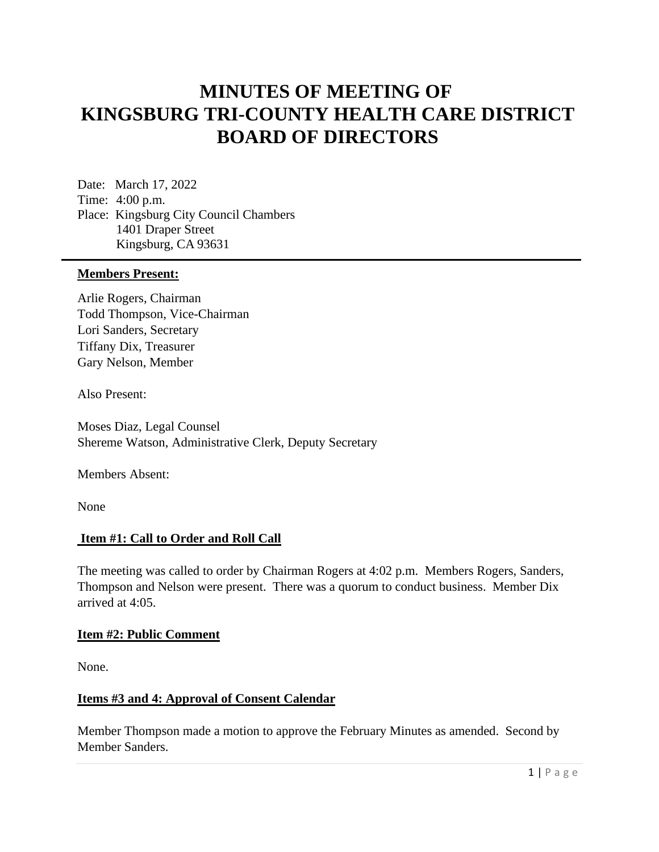# **MINUTES OF MEETING OF KINGSBURG TRI-COUNTY HEALTH CARE DISTRICT BOARD OF DIRECTORS**

Date: March 17, 2022 Time: 4:00 p.m. Place: Kingsburg City Council Chambers 1401 Draper Street Kingsburg, CA 93631

#### **Members Present:**

Arlie Rogers, Chairman Todd Thompson, Vice-Chairman Lori Sanders, Secretary Tiffany Dix, Treasurer Gary Nelson, Member

Also Present:

Moses Diaz, Legal Counsel Shereme Watson, Administrative Clerk, Deputy Secretary

Members Absent:

None

#### **Item #1: Call to Order and Roll Call**

The meeting was called to order by Chairman Rogers at 4:02 p.m. Members Rogers, Sanders, Thompson and Nelson were present. There was a quorum to conduct business. Member Dix arrived at 4:05.

#### **Item #2: Public Comment**

None.

#### **Items #3 and 4: Approval of Consent Calendar**

Member Thompson made a motion to approve the February Minutes as amended. Second by Member Sanders.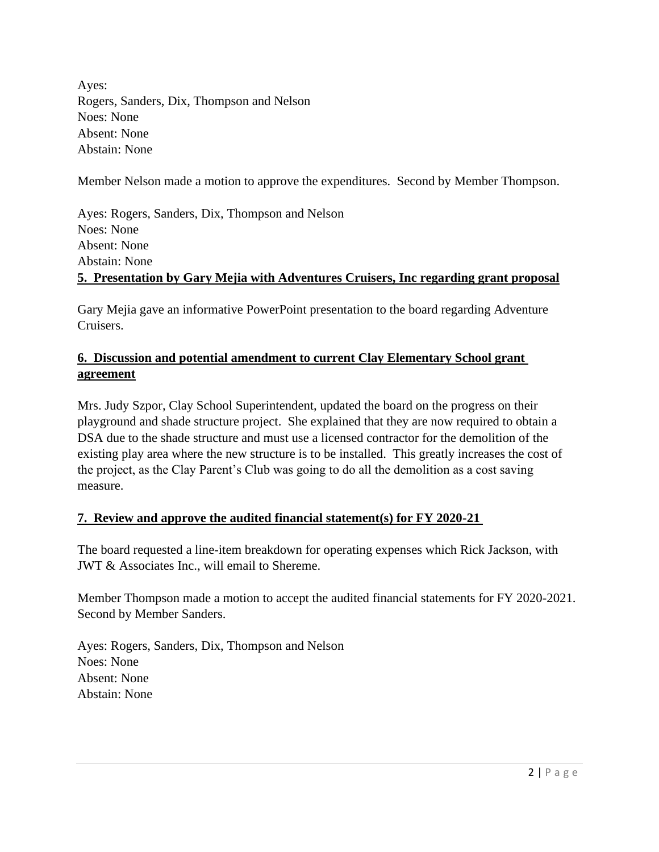Ayes: Rogers, Sanders, Dix, Thompson and Nelson Noes: None Absent: None Abstain: None

Member Nelson made a motion to approve the expenditures. Second by Member Thompson.

Ayes: Rogers, Sanders, Dix, Thompson and Nelson Noes: None Absent: None Abstain: None **5. Presentation by Gary Mejia with Adventures Cruisers, Inc regarding grant proposal**

Gary Mejia gave an informative PowerPoint presentation to the board regarding Adventure Cruisers.

# **6. Discussion and potential amendment to current Clay Elementary School grant agreement**

Mrs. Judy Szpor, Clay School Superintendent, updated the board on the progress on their playground and shade structure project. She explained that they are now required to obtain a DSA due to the shade structure and must use a licensed contractor for the demolition of the existing play area where the new structure is to be installed. This greatly increases the cost of the project, as the Clay Parent's Club was going to do all the demolition as a cost saving measure.

# **7. Review and approve the audited financial statement(s) for FY 2020-21**

The board requested a line-item breakdown for operating expenses which Rick Jackson, with JWT & Associates Inc., will email to Shereme.

Member Thompson made a motion to accept the audited financial statements for FY 2020-2021. Second by Member Sanders.

Ayes: Rogers, Sanders, Dix, Thompson and Nelson Noes: None Absent: None Abstain: None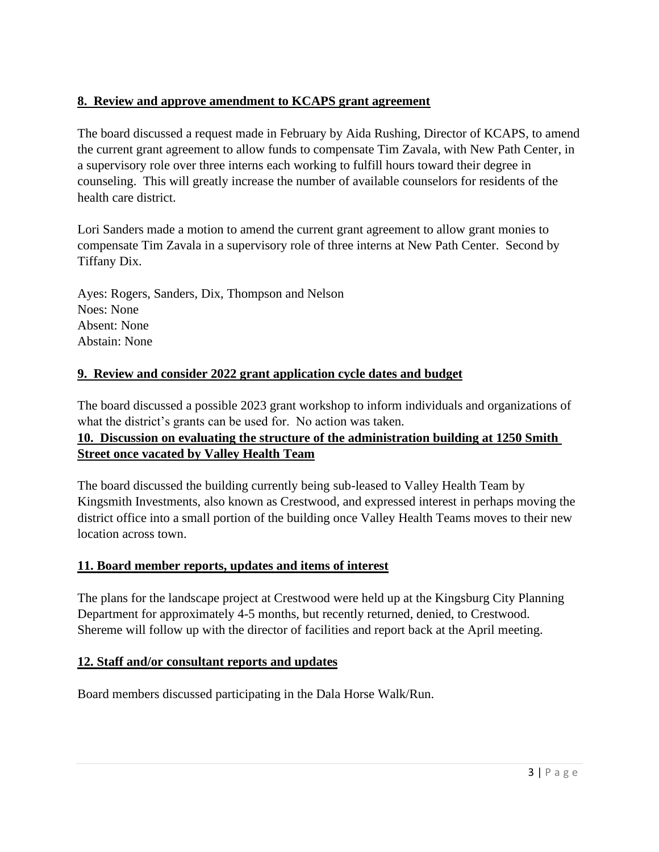# **8. Review and approve amendment to KCAPS grant agreement**

The board discussed a request made in February by Aida Rushing, Director of KCAPS, to amend the current grant agreement to allow funds to compensate Tim Zavala, with New Path Center, in a supervisory role over three interns each working to fulfill hours toward their degree in counseling. This will greatly increase the number of available counselors for residents of the health care district.

Lori Sanders made a motion to amend the current grant agreement to allow grant monies to compensate Tim Zavala in a supervisory role of three interns at New Path Center. Second by Tiffany Dix.

Ayes: Rogers, Sanders, Dix, Thompson and Nelson Noes: None Absent: None Abstain: None

## **9. Review and consider 2022 grant application cycle dates and budget**

The board discussed a possible 2023 grant workshop to inform individuals and organizations of what the district's grants can be used for. No action was taken.

# **10. Discussion on evaluating the structure of the administration building at 1250 Smith Street once vacated by Valley Health Team**

The board discussed the building currently being sub-leased to Valley Health Team by Kingsmith Investments, also known as Crestwood, and expressed interest in perhaps moving the district office into a small portion of the building once Valley Health Teams moves to their new location across town.

## **11. Board member reports, updates and items of interest**

The plans for the landscape project at Crestwood were held up at the Kingsburg City Planning Department for approximately 4-5 months, but recently returned, denied, to Crestwood. Shereme will follow up with the director of facilities and report back at the April meeting.

## **12. Staff and/or consultant reports and updates**

Board members discussed participating in the Dala Horse Walk/Run.